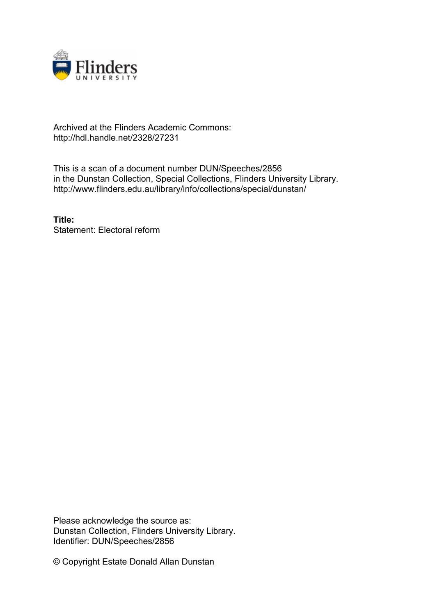

## Archived at the Flinders Academic Commons: http://hdl.handle.net/2328/27231

This is a scan of a document number DUN/Speeches/2856 in the Dunstan Collection, Special Collections, Flinders University Library. http://www.flinders.edu.au/library/info/collections/special/dunstan/

**Title:** Statement: Electoral reform

Please acknowledge the source as: Dunstan Collection, Flinders University Library. Identifier: DUN/Speeches/2856

© Copyright Estate Donald Allan Dunstan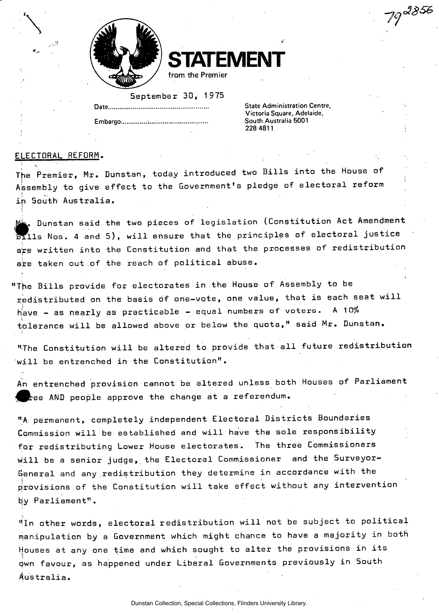



## September 30, 1975

Embargo...................................

**State Administration Centre, Victoria Square, Adelaide, South Australia 5001 Embargo. : South Australia 5001** 

19<sup>, 2856</sup>

## ELECTORAL REFORM.

The Premier, Mr. Dunstan, today introduced two Bills into the House of Assembly to give effect to the Government's pledge of electoral reform in South Australia.

from the Premier

 $\blacksquare$  Dunstan said the two pieces of legislation (Constitution Act Amendment bills Nos. 4 and 5), will ensure that the principles of electoral justice are written into the Constitution and that the processes of redistribution are taken out of the reach of political abuse.

"The Bills provide for electorates in the House of Assembly to be redistributed on the basis of one-vote, one value, that is each seat will have - as nearly as practicable - equal numbers of voters. A 10% tolerance will be allowed above or below the quota," said Mr. Dunstan.

"The Constitution will be altered to provide that all future redistribution will be entrenched in the Constitution".

An entrenched provision cannot be altered unless both Houses of Parliament  $\blacktriangleright$ ee AND people approve the change at a referendum.

"A permanent, completely independent Electoral Districts Boundaries Commission will be established and will have the sole responsibility for redistributing Lower House electorates. The three Commissioners will be a senior judge, the Electoral Commissioner and the Surveyor-General and any .redistribution they determine in accordance with the provisions of the Constitution will take effect without any intervention  $\overline{\phantom{a}}$ by Parliament".

"In other words, electoral redistribution will not be subject to political manipulation by a Government which might chance to have a majority in both Houses at any one time and which sought to alter the provisions in its 0wn favour, as happened under Liberal Governments previously in South Australia.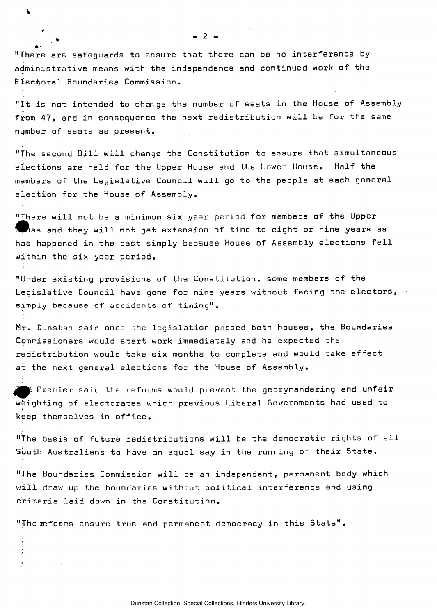"There are safeguards to ensure that there can be no interference by administrative means with the independence and continued work of the Electoral Boundaries Commission.

 $\ddot{\bullet}$ 

*A •* 

"It is not intended to change the number of seats in the House of Assembly from 47, and in consequence the next redistribution will be for the same number of seats as present.

"the second Bill will change the Constitution to ensure that simultaneous elections are held for the Upper House and the Lower House. Half the members of the Legislative Council will go to the people at each general election for the House of Assembly.

"There will not be a minimum six year period for members of the Upper We use and they will not get extension of time to eight or nine years as has happened in the past simply because House of Assembly elections fell within the six year period.

"Under existing provisions of the Constitution, some members of the Legislative Council have gone for nine years without facing the electors, simply because of accidents of timing".

Mr. Dunstan said once the legislation passed both Houses, the Boundaries Commissioners would start work immediately and he expected the redistribution would take six months to complete and would take effect at the next general elections for the House of Assembly.

) Premier said the reforms would prevent the gerrymandering and unfair weighting of electorates which previous Liberal Governments had used to keep themselves in office.

"The basis of future redistributions will be the democratic rights of all Sbuth Australians to have an equal say in the running of their State.

"The Boundaries Commission will be an independent, permanent body which will draw up the boundaries without political interference and using criteria laid down in the Constitution.

"The reforms ensure true and permanent democracy in this State".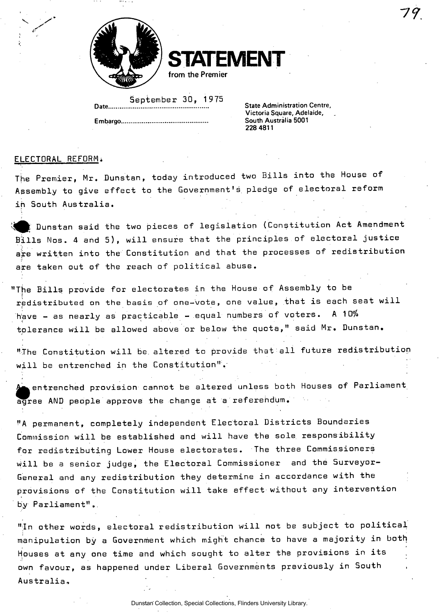



September 30, 1975 Date Controller Control Centre, Captain Centre, Captain Centre, Captain Centre, Captain Centre, Captain Centre,<br>Victoria Square, Adelaide,

**Embargo South Australia 5001** 

South Australia 5001 **228 4811** 

## ELECTORAL REFORM\*

The Premier, Mr. Dunstan, today introduced two Bills into the House of Assembly to give effect to the Government's pledge of electoral reform in South Australia.

 $\sharp$  Dunstan said the two pieces of legislation (Constitution Act Amendment Bills Nos. 4 and 5), will ensure that the principles of electoral justice are written into the Constitution and that the processes of redistribution are taken out of the reach of political abuse.

"The Bills provide for electorates in the House of Assembly to be redistributed on the basis of one-vote, one value, that is each seat will have - as nearly as practicable - equal numbers of voters. A 10% tolerance will be allowed above or below the quota," said Mr. Dunstan.

"The Constitution will be. altered to provide that all future redistribution will be entrenched in the Constitution".

 $\epsilon$ entrenched provision cannot be altered unless both Houses of Parliament agree AND people approve the change at a referendum.

"A permanent, completely independent Electoral Districts Boundaries Commission will be established and will have the sole responsibility for redistributing Lower House electorates. The three Commissioners will be a senior judge, the Electoral Commissioner and the Surveyor-General and any redistribution they determine in accordance with the provisions of the Constitution will take effect without any intervention by Parliament"..

"In other words, electoral redistribution will not be subject to political manipulation by a Government which might chance to have a majority in both Houses at any one time and which sought to alter the provisions in its own favour, as happened under Liberal Governments previously in South Australia,